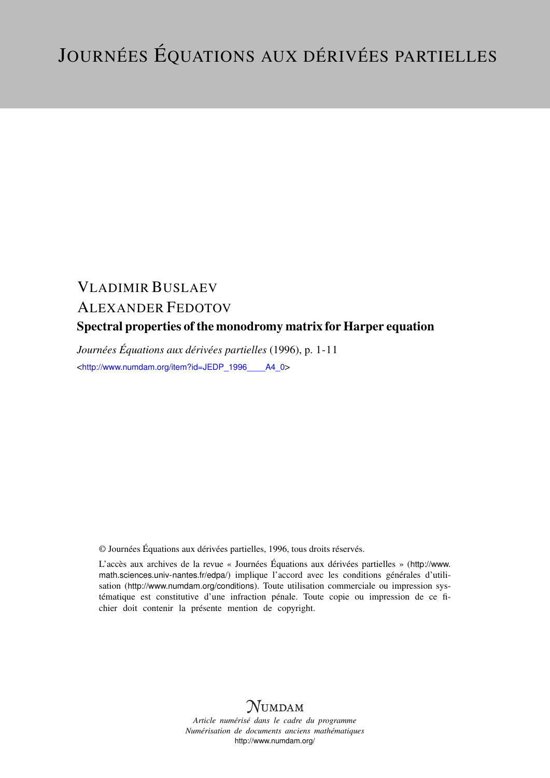## VLADIMIR BUSLAEV ALEXANDER FEDOTOV Spectral properties of the monodromy matrix for Harper equation

*Journées Équations aux dérivées partielles* (1996), p. 1-11 <[http://www.numdam.org/item?id=JEDP\\_1996\\_\\_\\_\\_A4\\_0](http://www.numdam.org/item?id=JEDP_1996____A4_0)>

© Journées Équations aux dérivées partielles, 1996, tous droits réservés.

L'accès aux archives de la revue « Journées Équations aux dérivées partielles » ([http://www.](http://www.math.sciences.univ-nantes.fr/edpa/) [math.sciences.univ-nantes.fr/edpa/](http://www.math.sciences.univ-nantes.fr/edpa/)) implique l'accord avec les conditions générales d'utilisation (<http://www.numdam.org/conditions>). Toute utilisation commerciale ou impression systématique est constitutive d'une infraction pénale. Toute copie ou impression de ce fichier doit contenir la présente mention de copyright.



*Article numérisé dans le cadre du programme Numérisation de documents anciens mathématiques* <http://www.numdam.org/>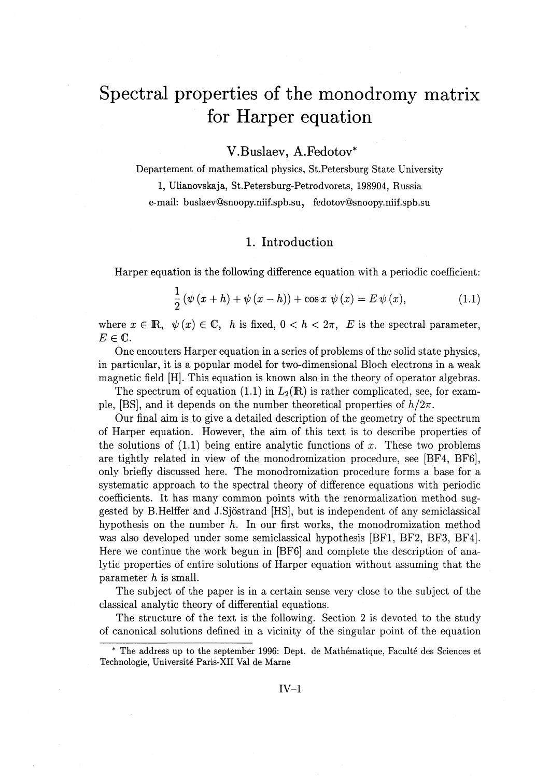# Spectral properties of the monodromy matrix for Harper equation

## V.Buslaev, A.Fedotov\*

Departement of mathematical physics, St.Petersburg State University 1, Ulianovskaja, St.Petersburg-Petrodvorets, 198904, Russia e-mail: buslaev@snoopy.niif.spb.su, fedotov@snoopy.niif.spb.su

## 1. Introduction

Harper equation is the following difference equation with a periodic coefficient:

$$
\frac{1}{2}(\psi(x+h) + \psi(x-h)) + \cos x \psi(x) = E \psi(x),
$$
\n(1.1)

where  $x \in \mathbb{R}$ ,  $\psi(x) \in \mathbb{C}$ , h is fixed,  $0 < h < 2\pi$ , E is the spectral parameter,  $E\in\mathbb{C}.$ 

One encouters Harper equation in a series of problems of the solid state physics, in particular, it is a popular model for two-dimensional Bloch electrons in a weak magnetic field [H]. This equation is known also in the theory of operator algebras.

The spectrum of equation (1.1) in  $L_2(\mathbb{R})$  is rather complicated, see, for example, [BS], and it depends on the number theoretical properties of  $h/2\pi$ .

Our final aim is to give a detailed description of the geometry of the spectrum of Harper equation. However, the aim of this text is to describe properties of the solutions of  $(1.1)$  being entire analytic functions of x. These two problems are tightly related in view of the monodromization procedure, see [BF4, BF6], only briefly discussed here. The monodromization procedure forms a base for a systematic approach to the spectral theory of difference equations with periodic coefficients. It has many common points with the renormalization method suggested by B.Helffer and J.Sjostrand [HS], but is independent of any semiclassical hypothesis on the number *h.* In our first works, the monodromization method was also developed under some semiclassical hypothesis [BF1, BF2, BF3, BF4]. Here we continue the work begun in [BF6] and complete the description of analytic properties of entire solutions of Harper equation without assuming that the parameter *h* is small.

The subject of the paper is in a certain sense very close to the subject of the classical analytic theory of differential equations.

The structure of the text is the following. Section 2 is devoted to the study of canonical solutions defined in a vicinity of the singular point of the equation

<sup>\*</sup> The address up to the September 1996: Dept. de Mathematique, Faculte des Sciences et Technologie, Universite Paris-XII Val de Marne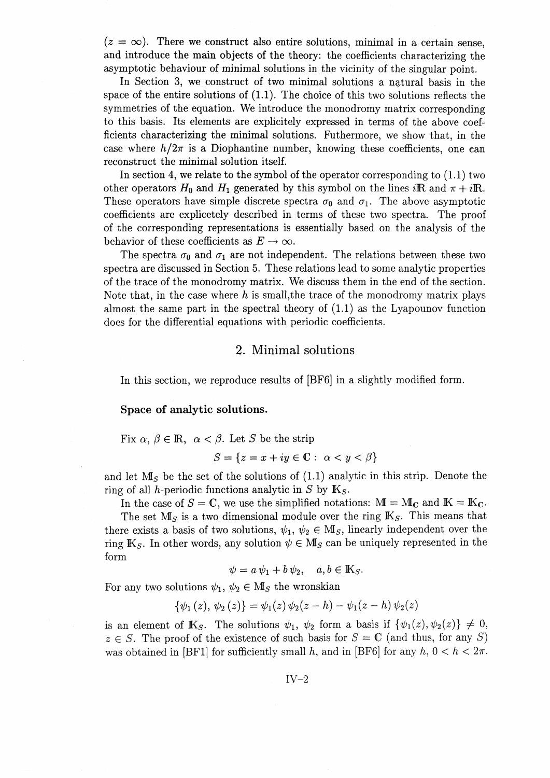$(z = \infty)$ . There we construct also entire solutions, minimal in a certain sense, and introduce the main objects of the theory: the coefficients characterizing the asymptotic behaviour of minimal solutions in the vicinity of the singular point.

In Section 3, we construct of two minimal solutions a natural basis in the space of the entire solutions of (1.1). The choice of this two solutions reflects the symmetries of the equation. We introduce the monodromy matrix corresponding to this basis. Its elements are explicitely expressed in terms of the above coefficients characterizing the minimal solutions. Futhermore, we show that, in the case where  $h/2\pi$  is a Diophantine number, knowing these coefficients, one can reconstruct the minimal solution itself.

In section 4, we relate to the symbol of the operator corresponding to  $(1.1)$  two other operators  $H_0$  and  $H_1$  generated by this symbol on the lines iR and  $\pi + i\mathbb{R}$ . These operators have simple discrete spectra  $\sigma_0$  and  $\sigma_1$ . The above asymptotic coefficients are explicetely described in terms of these two spectra. The proof of the corresponding representations is essentially based on the analysis of the behavior of these coefficients as  $E \to \infty$ .

The spectra  $\sigma_0$  and  $\sigma_1$  are not independent. The relations between these two spectra are discussed in Section 5. These relations lead to some analytic properties of the trace of the monodromy matrix. We discuss them in the end of the section. Note that, in the case where *h* is small,the trace of the monodromy matrix plays almost the same part in the spectral theory of (1.1) as the Lyapounov function does for the differential equations with periodic coefficients.

#### 2. Minimal solutions

In this section, we reproduce results of [BF6] in a slightly modified form.

**Space of analytic solutions.**

Fix 
$$
\alpha
$$
,  $\beta \in \mathbb{R}$ ,  $\alpha < \beta$ . Let S be the strip

$$
S = \{ z = x + iy \in \mathbb{C} : \alpha < y < \beta \}
$$

and let *Ms* be the set of the solutions of (1.1) analytic in this strip. Denote the ring of all *h*-periodic functions analytic in *S* by  $K_S$ .

In the case of  $S = \mathbb{C}$ , we use the simplified notations:  $\mathbb{M} = \mathbb{M}_{\mathbb{C}}$  and  $\mathbb{K} = \mathbb{K}_{\mathbb{C}}$ .

The set  $M_s$  is a two dimensional module over the ring  $K_s$ . This means that there exists a basis of two solutions,  $\psi_1, \psi_2 \in M_S$ , linearly independent over the ring  $\mathbb{K}_{S}$ . In other words, any solution  $\psi \in M_{S}$  can be uniquely represented in the form

$$
\psi = a \psi_1 + b \psi_2, \quad a, b \in \mathbb{K}_S.
$$

$$
\psi = a \psi_1 + b \psi_2, \quad a, b \in \mathbb{R}_S.
$$
  
For any two solutions  $\psi_1, \psi_2 \in \mathbb{M}_S$  the wronskian  

$$
\{\psi_1(z), \psi_2(z)\} = \psi_1(z) \psi_2(z - h) - \psi_1(z - h) \psi_2(z)
$$

is an element of  $\mathbb{K}_{S}$ . The solutions  $\psi_1$ ,  $\psi_2$  form a basis if  $\{\psi_1(z), \psi_2(z)\} \neq 0$ ,  $z \in S$ . The proof of the existence of such basis for  $S = \mathbb{C}$  (and thus, for any S) was obtained in [BF1] for sufficiently small h, and in [BF6] for any  $h, 0 < h < 2\pi$ .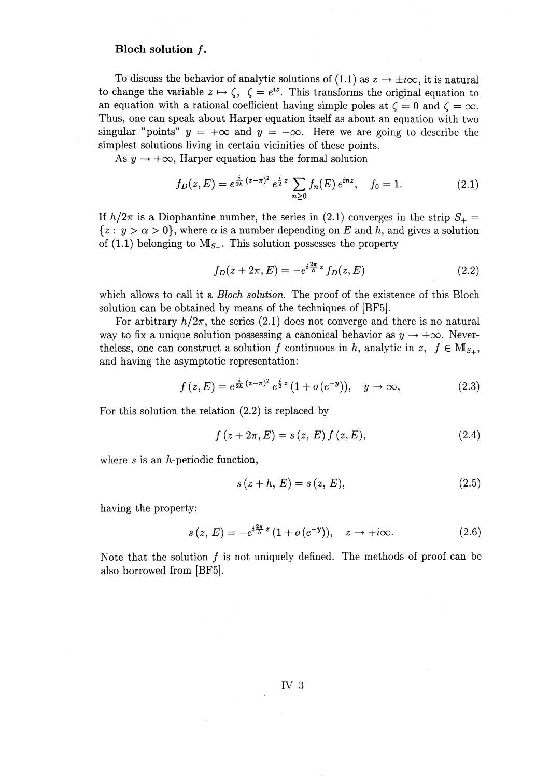#### Bloch solution f.

To discuss the behavior of analytic solutions of (1.1) as  $z \to \pm i\infty$ , it is natural to change the variable  $z \mapsto \zeta$ ,  $\zeta = e^{iz}$ . This transforms the original equation to an equation with a rational coefficient having simple poles at  $\zeta = 0$  and  $\zeta = \infty$ . Thus, one can speak about Harper equation itself as about an equation with two singular "points"  $y = +\infty$  and  $y = -\infty$ . Here we are going to describe the simplest solutions living in certain vicinities of these points.

As  $y \rightarrow +\infty$ , Harper equation has the formal solution

$$
f_D(z,E) = e^{\frac{i}{2h}(z-\pi)^2} e^{\frac{i}{2}z} \sum_{n\geq 0} f_n(E) e^{inz}, \quad f_0 = 1.
$$
 (2.1)

If  $h/2\pi$  is a Diophantine number, the series in (2.1) converges in the strip  $S_+$  =  $\{z : y > \alpha > 0\}$ , where  $\alpha$  is a number depending on E and h, and gives a solution of (1.1) belonging to  $M_{S_+}$ . This solution possesses the property

$$
f_D(z + 2\pi, E) = -e^{i\frac{2\pi}{h}z} f_D(z, E)
$$
 (2.2)

which allows to call it a *Bloch solution.* The proof of the existence of this Bloch solution can be obtained by means of the techniques of [BF5].

For arbitrary  $h/2\pi$ , the series (2.1) does not converge and there is no natural way to fix a unique solution possessing a canonical behavior as  $y \to +\infty$ . Neverthe less, one can construct a solution f continuous in h, analytic in z,  $f \in M_{S_{+}}$ , and having the asymptotic representation:

$$
f(z,E) = e^{\frac{i}{2h}(z-\pi)^2} e^{\frac{i}{2}z} (1+o(e^{-y})), \quad y \to \infty,
$$
 (2.3)

For this solution the relation (2.2) is replaced by

$$
f(z + 2\pi, E) = s(z, E) f(z, E),
$$
\n(2.4)

where  $s$  is an  $h$ -periodic function,

$$
s(z + h, E) = s(z, E),
$$
\n(2.5)

having the property:

$$
s(z, E) = -e^{i\frac{2\pi}{h}z} (1 + o(e^{-y})), \quad z \to +i\infty.
$$
 (2.6)

Note that the solution  $f$  is not uniquely defined. The methods of proof can be also borrowed from [BF5].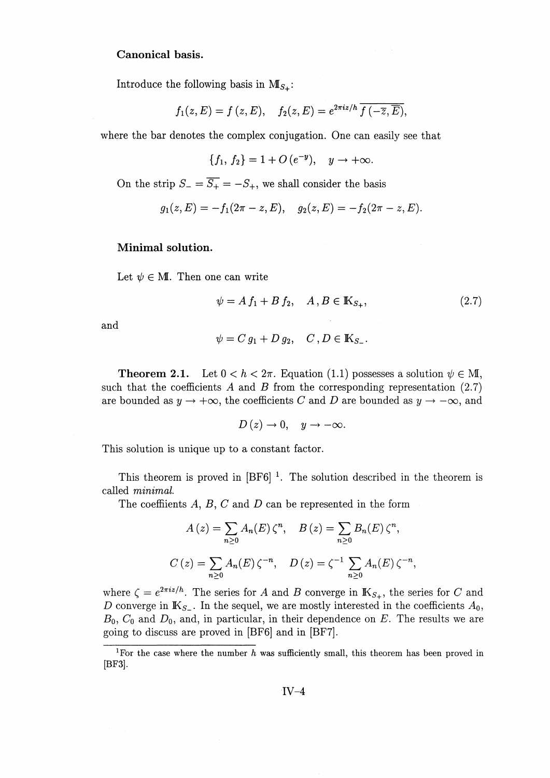#### **Canonical basis.**

Introduce the following basis in  $M_{S_{+}}$ :

$$
f_1(z, E) = f(z, E),
$$
  $f_2(z, E) = e^{2\pi i z/h} \overline{f(-\overline{z}, \overline{E})},$ 

where the bar denotes the complex conjugation. One can easily see that

$$
\{f_1, f_2\} = 1 + O(e^{-y}), \quad y \to +\infty.
$$

On the strip  $S_{-} = \overline{S_{+}} = -S_{+}$ , we shall consider the basis

$$
g_1(z, E) = 5_+ = -5_+
$$
, we shall consider the basis  
 $g_1(z, E) = -f_1(2\pi - z, E), \quad g_2(z, E) = -f_2(2\pi - z, E).$ 

#### **Minimal solution.**

Let  $\psi \in M$ . Then one can write

$$
\psi = A f_1 + B f_2, \quad A, B \in \mathbb{K}_{S_+}, \tag{2.7}
$$

and

$$
\psi = C g_1 + D g_2, \quad C, D \in \mathbb{K}_{S_-}.
$$

**Theorem 2.1.** Let  $0 < h < 2\pi$ . Equation (1.1) possesses a solution  $\psi \in M$ , such that the coefficients  $A$  and  $B$  from the corresponding representation  $(2.7)$ are bounded as  $y \to +\infty$ , the coefficients C and D are bounded as  $y \to -\infty$ , and

$$
D(z) \to 0, \quad y \to -\infty.
$$

This solution is unique up to a constant factor.

This theorem is proved in  $[BF6]$ <sup>1</sup>. The solution described in the theorem is called *minimal.*

The coeffiients A, B, *C* and *D* can be represented in the form

$$
A(z) = \sum_{n\geq 0} A_n(E) \zeta^n, \quad B(z) = \sum_{n\geq 0} B_n(E) \zeta^n,
$$
  

$$
C(z) = \sum_{n\geq 0} A_n(E) \zeta^{-n}, \quad D(z) = \zeta^{-1} \sum_{n\geq 0} A_n(E) \zeta^{-n},
$$

where  $\zeta = e^{2\pi i z/h}$ . The series for A and B converge in  $\mathbb{K}_{S_+}$ , the series for C and D converge in  $\mathbb{K}_{S_-}$ . In the sequel, we are mostly interested in the coefficients  $A_0$ , Bo, *Co* and *Do,* and, in particular, in their dependence on *E.* The results we are going to discuss are proved in [BF6] and in [BF7].

<sup>1</sup>For the case where the number *h* was sufficiently small, this theorem has been proved in [BF3].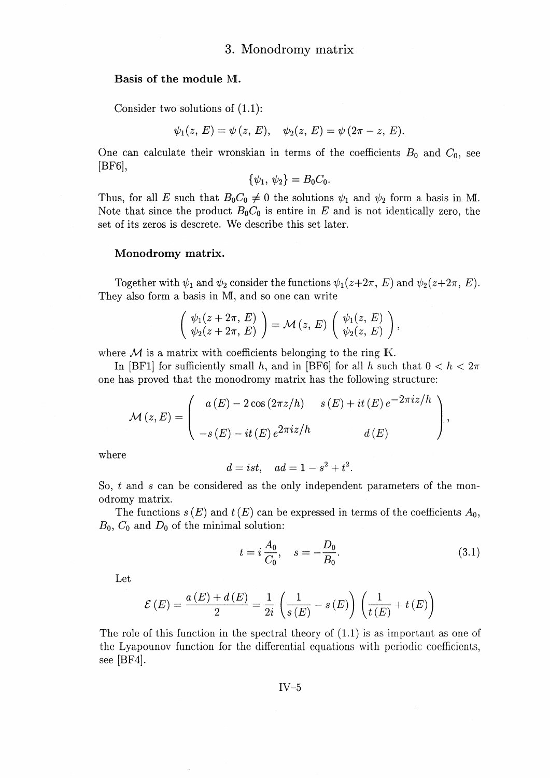#### **Basis of the module** ML

Consider two solutions of (I.I):

$$
\text{1.1:} \quad \psi_1(z, E) = \psi(z, E), \quad \psi_2(z, E) = \psi(2\pi - z, E).
$$

One can calculate their wronskian in terms of the coefficients  $B_0$  and  $C_0$ , see [BF6],

$$
\{\psi_1, \psi_2\} = B_0 C_0.
$$

Thus, for all E such that  $B_0C_0 \neq 0$  the solutions  $\psi_1$  and  $\psi_2$  form a basis in ML Note that since the product  $B_0 C_0$  is entire in E and is not identically zero, the set of its zeros is descrete. We describe this set later.

#### **Monodromy matrix.**

Together with  $\psi_1$  and  $\psi_2$  consider the functions  $\psi_1(z+2\pi, E)$  and  $\psi_2(z+2\pi, E)$ . They also form a basis in MI, and so one can write<br>  $\begin{pmatrix} \psi_1(z+2\pi, E) \\ \psi_2(z+2\pi, E) \end{pmatrix} = \mathcal{M}(z, E) \begin{pmatrix} \psi_1(z, E) \\ \psi_2(z, E) \end{pmatrix}$ 

$$
\left(\begin{array}{c}\psi_1(z+2\pi, E)\\ \psi_2(z+2\pi, E)\end{array}\right)=\mathcal{M}\left(z, E\right)\left(\begin{array}{c}\psi_1(z, E)\\ \psi_2(z, E)\end{array}\right),
$$

where  $M$  is a matrix with coefficients belonging to the ring  $K$ .

In [BF1] for sufficiently small h, and in [BF6] for all h such that  $0 < h < 2\pi$ one has proved that the monodromy matrix has the following structure:

$$
\mathcal{M}(z,E) = \begin{pmatrix} a(E) - 2\cos(2\pi z/h) & s(E) + it(E)e^{-2\pi iz/h} \\ -s(E) - it(E)e^{2\pi iz/h} & d(E) \end{pmatrix},
$$

where

$$
d = ist, \quad ad = 1 - s^2 + t^2.
$$

So, *t* and *s* can be considered as the only independent parameters of the monodromy matrix.

The functions  $s(E)$  and  $t(E)$  can be expressed in terms of the coefficients  $A_0$ ,  $B_0$ ,  $C_0$  and  $D_0$  of the minimal solution:

$$
t = i \frac{A_0}{C_0}, \quad s = -\frac{D_0}{B_0}.
$$
 (3.1)

Let

$$
\mathcal{E}(E) = \frac{a(E) + d(E)}{2} = \frac{1}{2i} \left( \frac{1}{s(E)} - s(E) \right) \left( \frac{1}{t(E)} + t(E) \right)
$$

The role of this function in the spectral theory of (1.1) is as important as one of the Lyapounov function for the differential equations with periodic coefficients, see [BF4].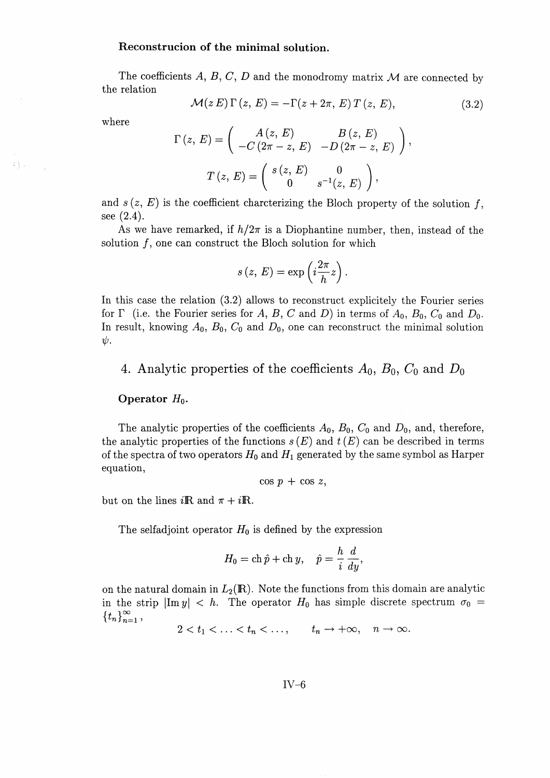#### **Reconstrucion of the minimal solution.**

The coefficients A, B, C, D and the monodromy matrix M are connected by the relation

$$
\mathcal{M}(z E) \Gamma(z, E) = -\Gamma(z + 2\pi, E) T(z, E), \tag{3.2}
$$

where

445

$$
\mathcal{M}(z E) \Gamma(z, E) = -\Gamma(z + 2\pi, E) T(z, E),
$$

$$
\Gamma(z, E) = \begin{pmatrix} A(z, E) & B(z, E) \\ -C(2\pi - z, E) & -D(2\pi - z, E) \end{pmatrix},
$$

$$
T(z, E) = \begin{pmatrix} s(z, E) & 0 \\ 0 & s^{-1}(z, E) \end{pmatrix},
$$

and  $s(z, E)$  is the coefficient charcterizing the Bloch property of the solution f  $\cos(2\lambda)$ 

As we have remarked, if  $h/2\pi$  is a Diophantine number, then, instead of the solution  $f$ , one can construct the Bloch solution for which

$$
s(z, E) = \exp\left(i\frac{2\pi}{h}z\right).
$$

In this case the relation (3.2) allows to reconstruct explicitely the Fourier series for  $\Gamma$  (i.e. the Fourier series for A, B, C and D) in terms of  $A_0$ ,  $B_0$ ,  $C_0$  and  $D_0$ . In result, knowing Ao, Bo, *Co* and *Do,* one can reconstruct the minimal solution  $\psi$ .

4. Analytic properties of the coefficients  $A_0$ ,  $B_0$ ,  $C_0$  and  $D_0$ 

#### **Operator** *Ho.*

The analytic properties of the coefficients Ao, Bo, *Co* and *Do,* and, therefore, the analytic properties of the functions  $s(E)$  and  $t(E)$  can be described in terms of the spectra of two operators *Ho* and *H^* generated by the same symbol as Harper equation,

$$
\cos p + \cos z,
$$

but on the lines  $i\mathbf{R}$  and  $\pi + i\mathbf{R}$ .

The selfadjoint operator  $H_0$  is defined by the expression

$$
H_0 = \operatorname{ch} \hat{p} + \operatorname{ch} y, \quad \hat{p} = \frac{h}{i} \frac{d}{dy},
$$

on the natural domain in  $L_2(\mathbb{R})$ . Note the functions from this domain are analytic in the strip  $|\text{Im } y| < h$ . The operator  $H_0$  has simple discrete spectrum  $\sigma_0 =$  $\{t_n\}_{n=1}^{\infty}$ *5+ \°°*

 $2 < t_1 < \ldots < t_n < \ldots, \qquad t_n \to +\infty, \quad n \to \infty.$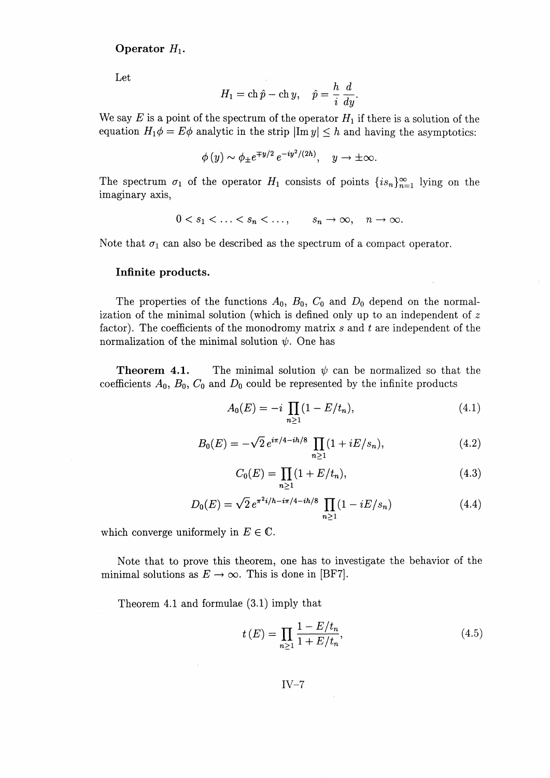## **Operator** *Hi.*

Let

$$
H_1 = \operatorname{ch} \hat{p} - \operatorname{ch} y, \quad \hat{p} = \frac{h}{i} \frac{d}{dy}.
$$

We say  $E$  is a point of the spectrum of the operator  $H_1$  if there is a solution of the equation  $H_1\phi = E\phi$  analytic in the strip  $|\text{Im } y| \leq h$  and having the asymptotics:

$$
\phi(y) \sim \phi_{\pm} e^{\mp y/2} e^{-iy^2/(2h)}, \quad y \to \pm \infty.
$$

The spectrum  $\sigma_1$  of the operator  $H_1$  consists of points  ${i s_n}_{n=1}^{\infty}$  lying on the imaginary axis,

$$
0 < s_1 < \ldots < s_n < \ldots, \qquad s_n \to \infty, \quad n \to \infty.
$$

Note that  $\sigma_1$  can also be described as the spectrum of a compact operator.

#### **Infinite products.**

The properties of the functions Ao, Bo, *Co* and *Do* depend on the normalization of the minimal solution (which is defined only up to an independent of *z* factor). The coefficients of the monodromy matrix *s* and *t* are independent of the normalization of the minimal solution  $\psi$ . One has

**Theorem 4.1.** The minimal solution  $\psi$  can be normalized so that the coefficients  $A_0$ ,  $B_0$ ,  $C_0$  and  $D_0$  could be represented by the infinite products

$$
A_0(E) = -i \prod_{n \ge 1} (1 - E/t_n), \tag{4.1}
$$

$$
B_0(E) = -\sqrt{2} e^{i\pi/4 - i\hbar/8} \prod_{n > 1} (1 + iE/s_n),\tag{4.2}
$$

$$
C_0(E) = \prod_{n>1} (1 + E/t_n),\tag{4.3}
$$

$$
D_0(E) = \sqrt{2} e^{\pi^2 i/h - i\pi/4 - i\hbar/8} \prod_{n \ge 1} (1 - iE/s_n)
$$
 (4.4)

which converge uniformely in  $E \in \mathbb{C}$ .

Note that to prove this theorem, one has to investigate the behavior of the minimal solutions as  $E \to \infty$ . This is done in [BF7].

Theorem 4.1 and formulae (3.1) imply that

$$
t(E) = \prod_{n\geq 1} \frac{1 - E/t_n}{1 + E/t_n},
$$
\n(4.5)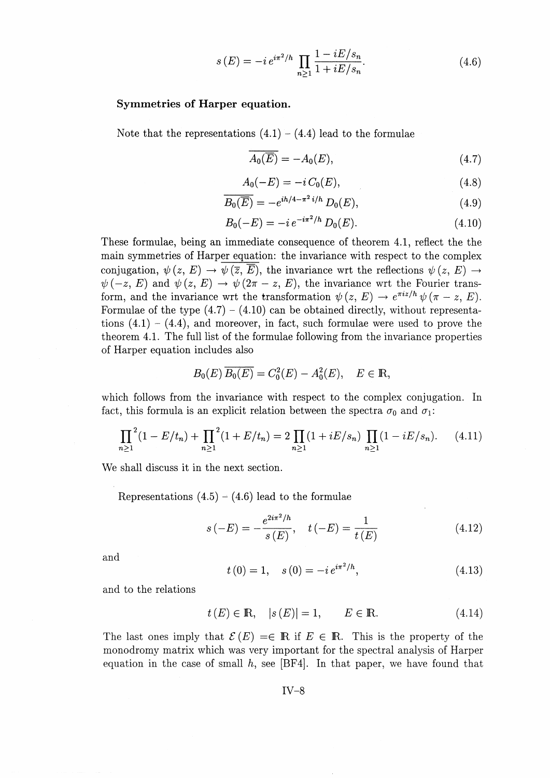$$
s(E) = -i e^{i\pi^2/h} \prod_{n \ge 1} \frac{1 - iE/s_n}{1 + iE/s_n}.
$$
 (4.6)

#### **Symmetries of Harper equation.**

Note that the representations  $(4.1) - (4.4)$  lead to the formulae

$$
\overline{A_0(\overline{E})} = -A_0(E),\tag{4.7}
$$

$$
A_0(-E) = -i C_0(E), \tag{4.8}
$$

$$
\overline{B_0(\overline{E})} = -e^{ih/4 - \pi^2 i/h} D_0(E), \qquad (4.9)
$$

$$
B_0(-E) = -i e^{-i\pi^2/h} D_0(E). \tag{4.10}
$$

These formulae, being an immediate consequence of theorem 4.1, reflect the the main symmetries of Harper equation: the invariance with respect to the complex conjugation,  $\psi(z, E) \to \psi(\overline{z}, \overline{E})$ , the invariance wrt the reflections  $\psi(z, E) \to$  $\psi(-z, E)$  and  $\psi(z, E) \to \psi(2\pi - z, E)$ , the invariance wrt the Fourier transform, and the invariance wrt the transformation  $\psi(z, E) \to e^{\pi i z/h} \psi(\pi - z, E)$ . Formulae of the type  $(4.7) - (4.10)$  can be obtained directly, without representations  $(4.1) - (4.4)$ , and moreover, in fact, such formulae were used to prove the theorem 4.1. The full list of the formulae following from the invariance properties of Harper equation includes also

$$
B_0(E) \ \overline{B_0(E)} = C_0^2(E) - A_0^2(E), \quad E \in \mathbb{R},
$$

which follows from the invariance with respect to the complex conjugation. In fact, this formula is an explicit relation between the spectra  $\sigma_0$  and  $\sigma_1$ :

$$
\prod_{n\geq 1}^{2} (1 - E/t_n) + \prod_{n\geq 1}^{2} (1 + E/t_n) = 2 \prod_{n\geq 1} (1 + iE/s_n) \prod_{n\geq 1} (1 - iE/s_n).
$$
 (4.11)

We shall discuss it in the next section.

Representations  $(4.5) - (4.6)$  lead to the formulae

$$
s(-E) = -\frac{e^{2i\pi^2/h}}{s(E)}, \quad t(-E) = \frac{1}{t(E)}
$$
(4.12)

and

$$
t(0) = 1, \quad s(0) = -i e^{i\pi^2/h}, \tag{4.13}
$$

and to the relations

$$
t(E) \in \mathbb{R}, \quad |s(E)| = 1, \qquad E \in \mathbb{R}.
$$
 (4.14)

The last ones imply that  $\mathcal{E}(E) = \in \mathbb{R}$  if  $E \in \mathbb{R}$ . This is the property of the monodromy matrix which was very important for the spectral analysis of Harper equation in the case of small  $h$ , see [BF4]. In that paper, we have found that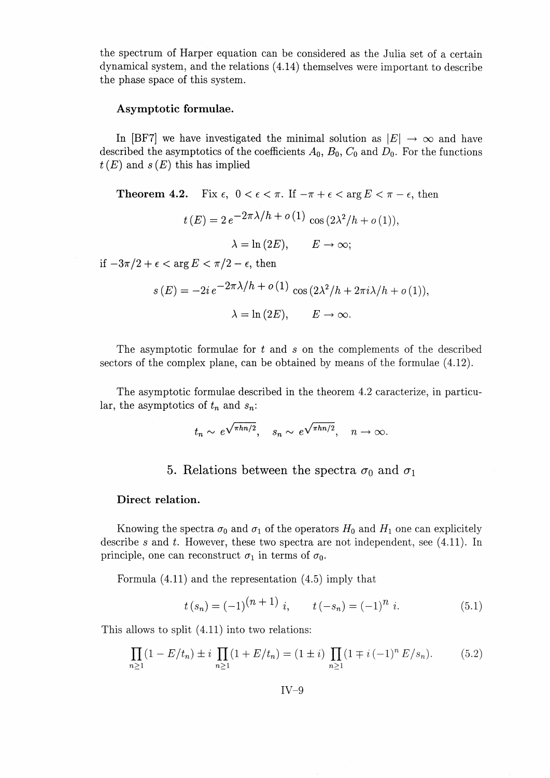the spectrum of Harper equation can be considered as the Julia set of a certain dynamical system, and the relations (4.14) themselves were important to describe the phase space of this system.

## **Asymptotic formulae.**

In [BF7] we have investigated the minimal solution as  $\vert E\vert \to \infty$  and have described the asymptotics of the coefficients  $A_0$ ,  $B_0$ ,  $C_0$  and  $D_0$ . For the functions  $t(E)$  and  $s(E)$  this has implied

**Theorem 4.2.** Fix  $\epsilon$ ,  $0 < \epsilon < \pi$ . If  $-\pi + \epsilon < \arg E < \pi - \epsilon$ , then  $t(E) = 2 e^{-2\pi \lambda/h} + o(1) \cos (2\lambda^2/h + o(1))$  $\lambda = \ln(2E), \qquad E \to \infty;$ if  $-3\pi/2 + \epsilon < \arg E < \pi/2 - \epsilon$ , then  $s\left(E\right) = -2i\,e^{\displaystyle{-2\pi\lambda/h + o\left(1\right)}}\,\cos\left(2\lambda^2/h + 2\pi i\lambda/h + o\left(1\right)\right),$ 

$$
\lambda = \ln(2E), \qquad E \to \infty.
$$

The asymptotic formulae for < and *s* on the complements of the described sectors of the complex plane, can be obtained by means of the formulae (4.12).

The asymptotic formulae described in the theorem 4.2 caracterize, in particular, the asymptotics of *tn* and *Sn'*

$$
t_n \sim e^{\sqrt{\pi h n/2}}, \quad s_n \sim e^{\sqrt{\pi h n/2}}, \quad n \to \infty.
$$

## 5. Relations between the spectra  $\sigma_0$  and  $\sigma_1$

#### **Direct relation.**

Knowing the spectra  $\sigma_0$  and  $\sigma_1$  of the operators  $H_0$  and  $H_1$  one can explicitely describe *s* and *t.* However, these two spectra are not independent, see (4.11). In principle, one can reconstruct  $\sigma_1$  in terms of  $\sigma_0$ .

Formula (4.11) and the representation (4.5) imply that

$$
t(s_n) = (-1)^{(n+1)} i
$$
,  $t(-s_n) = (-1)^n i$ . (5.1)

This allows to split (4.11) into two relations:

$$
\prod_{n\geq 1} (1 - E/t_n) \pm i \prod_{n\geq 1} (1 + E/t_n) = (1 \pm i) \prod_{n\geq 1} (1 \mp i (-1)^n E/s_n).
$$
 (5.2)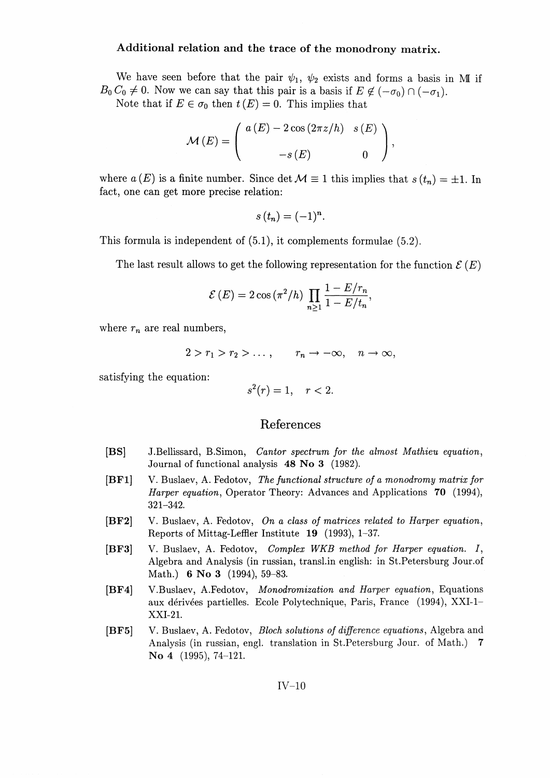## **Additional relation and the trace of the monodrony matrix.**

We have seen before that the pair  $\psi_1$ ,  $\psi_2$  exists and forms a basis in MI if  $B_0 C_0 \neq 0$ . Now we can say that this pair is a basis if  $E \not\in (-\sigma_0) \cap (-\sigma_1)$ .

Note that if  $E \in \sigma_0$  then  $t(E) = 0$ . This implies that

$$
\mathcal{M}(E) = \left( \begin{array}{cc} a(E) - 2\cos(2\pi z/h) & s(E) \\ -s(E) & 0 \end{array} \right),
$$

where  $a(E)$  is a finite number. Since det  $\mathcal{M} \equiv 1$  this implies that  $s(t_n) = \pm 1$ . In fact, one can get more precise relation:

$$
s(t_n)=(-1)^n.
$$

This formula is independent of (5.1), it complements formulae (5.2).

The last result allows to get the following representation for the function  $\mathcal{E}(E)$ 

$$
\mathcal{E}(E) = 2\cos\left(\pi^2/h\right) \prod_{n\geq 1} \frac{1 - E/r_n}{1 - E/t_n},
$$

where  $r_n$  are real numbers,

$$
2 > r_1 > r_2 > \ldots, \qquad r_n \to -\infty, \quad n \to \infty,
$$

satisfying the equation:

$$
s^2(r) = 1, \quad r < 2.
$$

## References

- [BS] J.Bellissard, B.Simon, *Cantor spectrum for the almost Mathieu equation^* Journal of functional analysis 48 No 3 (1982).
- [BF1] V. Buslaev, A. Fedotov, *The functional structure of a monodromy matrix for Harper equation*, Operator Theory: Advances and Applications 70 (1994), 321-342.
- [BF2] V. Buslaev, A. Fedotov, On a class of matrices related to Harper equation, Reports of Mittag-Leffler Institute **19** (1993), 1-37.
- [BF3] V. Buslaev, A. Fedotov, *Complex WKB method for Harper equation.* J, Algebra and Analysis (in russian, transl.in english: in St.Petersburg Jour.of Math.) **6 No 3** (1994), 59-83.
- [BF4] V.Buslaev, A.Fedotov, *Monodromization and Harper equation^* Equations aux derivees partielles. Ecole Polytechnique, Paris, France (1994), XXI-1- XXI-21.
- [BF5] V. Buslaev, A. Fedotov, *Bloch solutions of difference equations^* Algebra and Analysis (in russian, engl. translation in St.Petersburg Jour. of Math.) 7 No 4 (1995), 74-121.